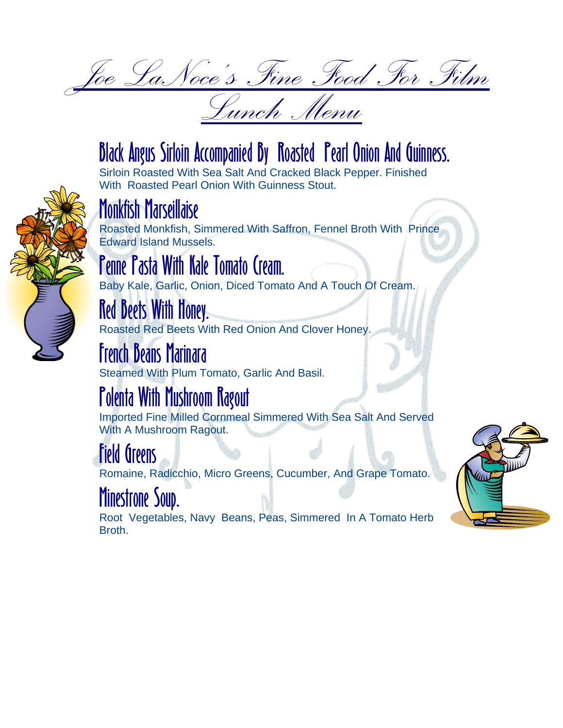Joe LaNoce's Fine Food For Film Lunch Menu

# Black Angus Sirloin Accompanied By Roasted Pearl Onion And Guinness.

Sirloin Roasted With Sea Salt And Cracked Black Pepper. Finished With Roasted Pearl Onion With Guinness Stout.



### Monkfish Marseillaise

Roasted Monkfish, Simmered With Saffron, Fennel Broth With Prince Edward Island Mussels.

### Penne Pasta With Kale Tomato Cream.

Baby Kale, Garlic, Onion, Diced Tomato And A Touch Of Cream.

# Red Beets With Honey.

Roasted Red Beets With Red Onion And Clover Honey.

#### French Beans Marinara

Steamed With Plum Tomato, Garlic And Basil.

# Polenta With Mushroom Ragout

Imported Fine Milled Cornmeal Simmered With Sea Salt And Served With A Mushroom Ragout.

#### Field Greens

Romaine, Radicchio, Micro Greens, Cucumber, And Grape Tomato.

#### Minestrone Soup.

Root Vegetables, Navy Beans, Peas, Simmered In A Tomato Herb Broth.

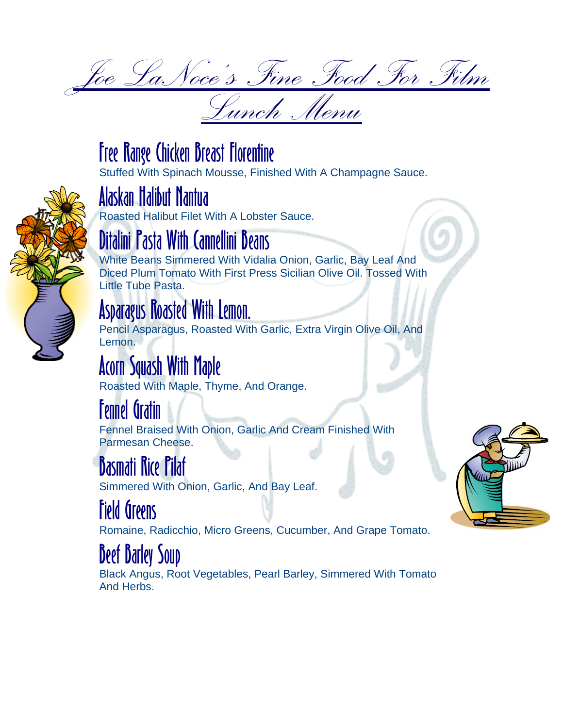Joe LaNoce's Fine Food For Film Lunch Menu



# Free Range Chicken Breast Florentine

Stuffed With Spinach Mousse, Finished With A Champagne Sauce.



# Alaskan Halibut Nantua

Roasted Halibut Filet With A Lobster Sauce.

## talini Pasta With Cannellini Beans

White Beans Simmered With Vidalia Onion, Garlic, Bay Leaf And Diced Plum Tomato With First Press Sicilian Olive Oil. Tossed With Little Tube Pasta.

#### Asparagus Roasted With Lemon.

Pencil Asparagus, Roasted With Garlic, Extra Virgin Olive Oil, And Lemon.

# Acorn Squash With Maple

Roasted With Maple, Thyme, And Orange.

## Fennel Gratin

Fennel Braised With Onion, Garlic And Cream Finished With Parmesan Cheese.

### Basmati Rice Pilaf

Simmered With Onion, Garlic, And Bay Leaf.

## Field Greens

Romaine, Radicchio, Micro Greens, Cucumber, And Grape Tomato.

### Beef Barley Soup

Black Angus, Root Vegetables, Pearl Barley, Simmered With Tomato And Herbs.

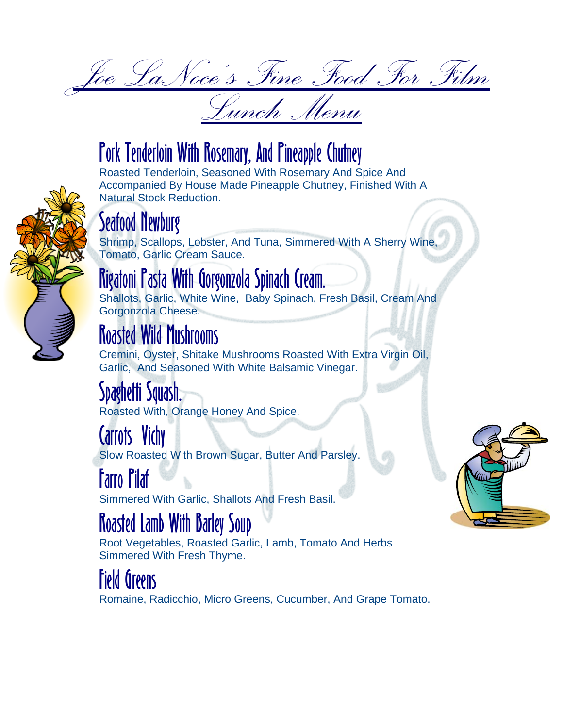Joe LaNoce's Fine Food For Film Lunch Menu

### Pork Tenderloin With Rosemary, And Pineapple Chutney

Roasted Tenderloin, Seasoned With Rosemary And Spice And Accompanied By House Made Pineapple Chutney, Finished With A Natural Stock Reduction.



#### Seafood Newburg

Shrimp, Scallops, Lobster, And Tuna, Simmered With A Sherry Wine, Tomato, Garlic Cream Sauce.

#### Rigatoni Pasta With Gorgonzola Spinach Cream.

Shallots, Garlic, White Wine, Baby Spinach, Fresh Basil, Cream And Gorgonzola Cheese.

## Roasted Wild Mushrooms

Cremini, Oyster, Shitake Mushrooms Roasted With Extra Virgin Oil, Garlic, And Seasoned With White Balsamic Vinegar.

#### kiigiil Dauash.

Roasted With, Orange Honey And Spice.

#### Carrots Vichy

Slow Roasted With Brown Sugar, Butter And Parsley.

#### Farro Pilaf

Simmered With Garlic, Shallots And Fresh Basil.

### Roasted Lamb With Barley Soup

Root Vegetables, Roasted Garlic, Lamb, Tomato And Herbs Simmered With Fresh Thyme.

#### Field Greens

Romaine, Radicchio, Micro Greens, Cucumber, And Grape Tomato.

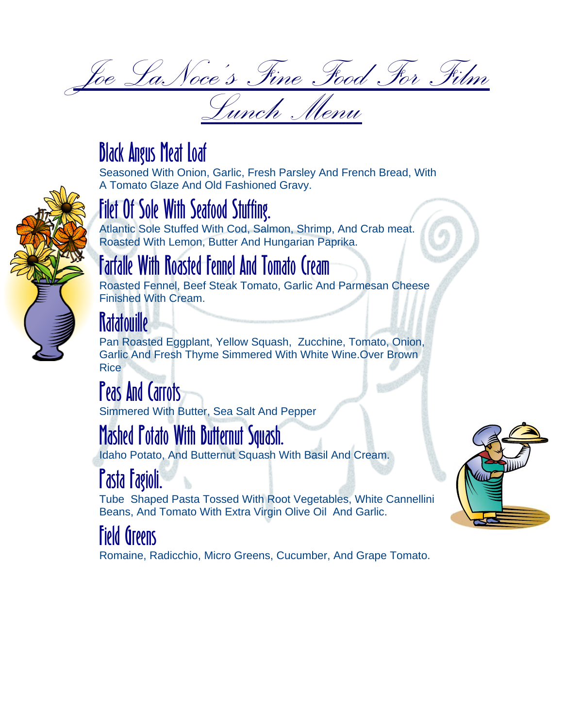Joe LaNoce's Fine Food For Film Lunch Menu

#### Black Angus Meat Loaf

Seasoned With Onion, Garlic, Fresh Parsley And French Bread, With A Tomato Glaze And Old Fashioned Gravy.

# Filet Of Sole With Seafood Stuffing.

Atlantic Sole Stuffed With Cod, Salmon, Shrimp, And Crab meat. Roasted With Lemon, Butter And Hungarian Paprika.



#### Farfalle With Roasted Fennel And Tomato Cream

Roasted Fennel, Beef Steak Tomato, Garlic And Parmesan Cheese Finished With Cream.

# **Ratatouille**

Pan Roasted Eggplant, Yellow Squash, Zucchine, Tomato, Onion, Garlic And Fresh Thyme Simmered With White Wine.Over Brown Rice

#### Peas And Carrots

Simmered With Butter, Sea Salt And Pepper

# Mashed Potato With Butternut Squash.

Idaho Potato, And Butternut Squash With Basil And Cream.

# Pasta Fagioli.

Tube Shaped Pasta Tossed With Root Vegetables, White Cannellini Beans, And Tomato With Extra Virgin Olive Oil And Garlic.

# Field Greens

Romaine, Radicchio, Micro Greens, Cucumber, And Grape Tomato.

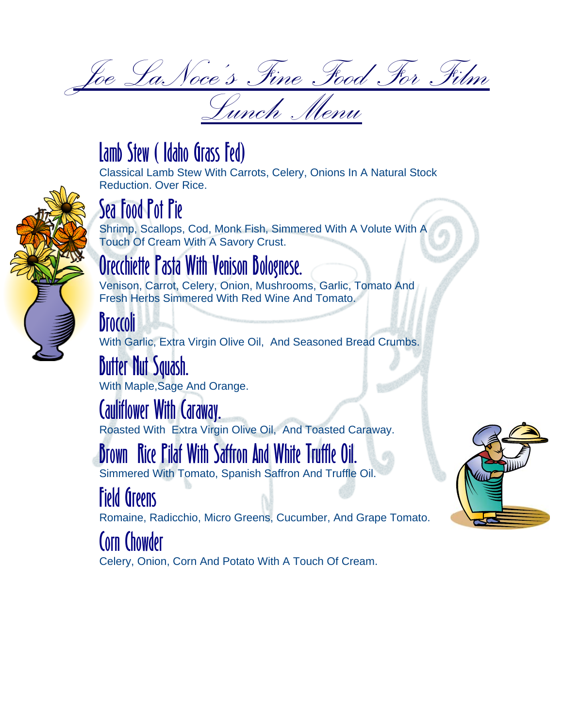Joe LaNoce's Fine Food For Film Lunch Menu

#### Lamb Stew ( Idaho Grass Fed)

Classical Lamb Stew With Carrots, Celery, Onions In A Natural Stock Reduction. Over Rice.



# Sea Food Pot Pie

Shrimp, Scallops, Cod, Monk Fish, Simmered With A Volute With A Touch Of Cream With A Savory Crust.

#### Orecchiette Pasta With Venison Bolognese.

Venison, Carrot, Celery, Onion, Mushrooms, Garlic, Tomato And Fresh Herbs Simmered With Red Wine And Tomato.

# Broccoli

With Garlic, Extra Virgin Olive Oil, And Seasoned Bread Crumbs.

### Butter Nut Squash.

With Maple,Sage And Orange.

#### Cauliflower With Caraway.

Roasted With Extra Virgin Olive Oil, And Toasted Caraway.

## Brown Rice Pilaf With Saffron And White Truffle Oil.

Simmered With Tomato, Spanish Saffron And Truffle Oil.

## Field Greens

Romaine, Radicchio, Micro Greens, Cucumber, And Grape Tomato.

#### Corn Chowder

Celery, Onion, Corn And Potato With A Touch Of Cream.